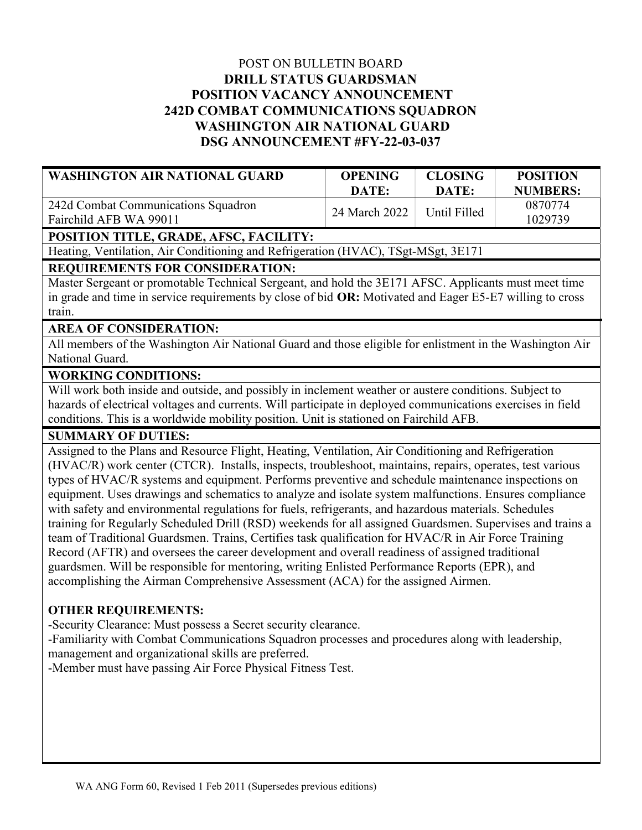# POST ON BULLETIN BOARD DRILL STATUS GUARDSMAN POSITION VACANCY ANNOUNCEMENT 242D COMBAT COMMUNICATIONS SQUADRON WASHINGTON AIR NATIONAL GUARD DSG ANNOUNCEMENT #FY-22-03-037

| WASHINGTON AIR NATIONAL GUARD                                 | <b>OPENING</b> | <b>CLOSING</b> | <b>POSITION</b>    |
|---------------------------------------------------------------|----------------|----------------|--------------------|
|                                                               | DATE:          | DATE:          | <b>NUMBERS:</b>    |
| 242d Combat Communications Squadron<br>Fairchild AFB WA 99011 | 24 March 2022  | Until Filled   | 0870774<br>1029739 |

## POSITION TITLE, GRADE, AFSC, FACILITY:

Heating, Ventilation, Air Conditioning and Refrigeration (HVAC), TSgt-MSgt, 3E171

## REQUIREMENTS FOR CONSIDERATION:

Master Sergeant or promotable Technical Sergeant, and hold the 3E171 AFSC. Applicants must meet time in grade and time in service requirements by close of bid OR: Motivated and Eager E5-E7 willing to cross train.

#### AREA OF CONSIDERATION:

All members of the Washington Air National Guard and those eligible for enlistment in the Washington Air National Guard.

## WORKING CONDITIONS:

Will work both inside and outside, and possibly in inclement weather or austere conditions. Subject to hazards of electrical voltages and currents. Will participate in deployed communications exercises in field conditions. This is a worldwide mobility position. Unit is stationed on Fairchild AFB.

#### SUMMARY OF DUTIES:

Assigned to the Plans and Resource Flight, Heating, Ventilation, Air Conditioning and Refrigeration (HVAC/R) work center (CTCR). Installs, inspects, troubleshoot, maintains, repairs, operates, test various types of HVAC/R systems and equipment. Performs preventive and schedule maintenance inspections on equipment. Uses drawings and schematics to analyze and isolate system malfunctions. Ensures compliance with safety and environmental regulations for fuels, refrigerants, and hazardous materials. Schedules training for Regularly Scheduled Drill (RSD) weekends for all assigned Guardsmen. Supervises and trains a team of Traditional Guardsmen. Trains, Certifies task qualification for HVAC/R in Air Force Training Record (AFTR) and oversees the career development and overall readiness of assigned traditional guardsmen. Will be responsible for mentoring, writing Enlisted Performance Reports (EPR), and accomplishing the Airman Comprehensive Assessment (ACA) for the assigned Airmen.

#### OTHER REQUIREMENTS:

-Security Clearance: Must possess a Secret security clearance.

-Familiarity with Combat Communications Squadron processes and procedures along with leadership, management and organizational skills are preferred.

-Member must have passing Air Force Physical Fitness Test.